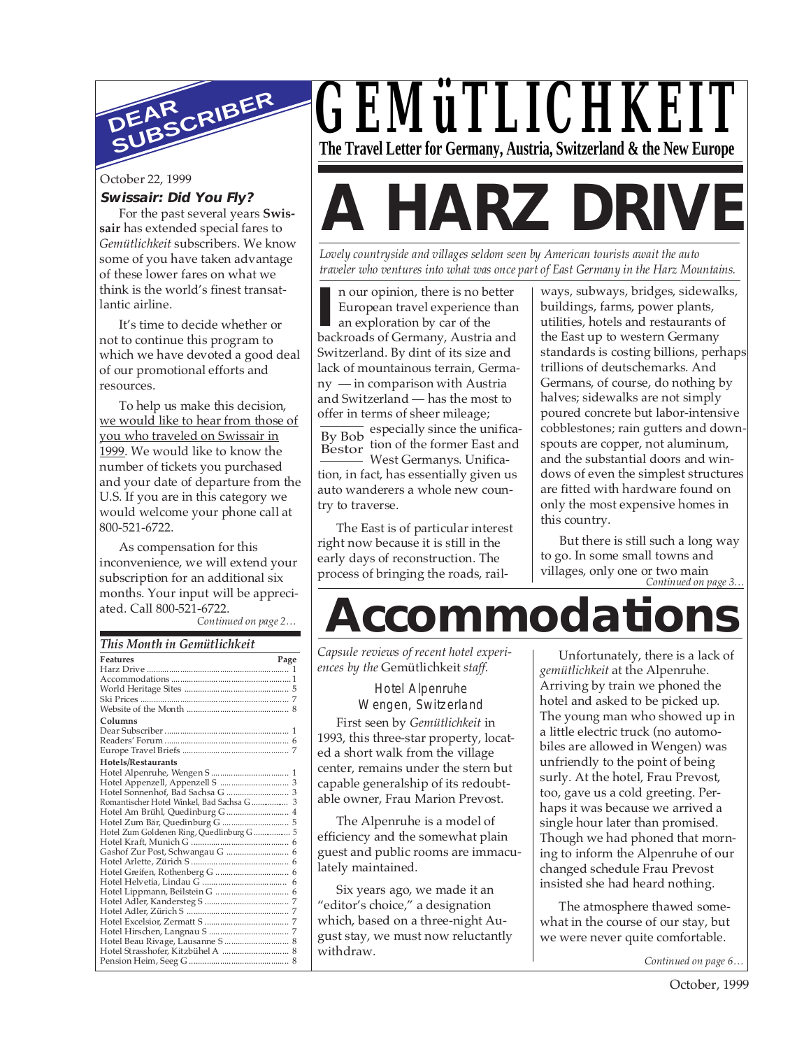

#### October 22, 1999

#### **Swissair: Did You Fly?**

For the past several years **Swissair** has extended special fares to *Gemütlichkeit* subscribers. We know some of you have taken advantage of these lower fares on what we think is the world's finest transatlantic airline.

It's time to decide whether or not to continue this program to which we have devoted a good deal of our promotional efforts and resources.

To help us make this decision, we would like to hear from those of you who traveled on Swissair in 1999. We would like to know the number of tickets you purchased and your date of departure from the U.S. If you are in this category we would welcome your phone call at 800-521-6722.

As compensation for this inconvenience, we will extend your subscription for an additional six months. Your input will be appreciated. Call 800-521-6722.

*Continued on page 2…*

| This Month in Gemütlichkeit                |      |
|--------------------------------------------|------|
| <b>Features</b>                            | Page |
|                                            |      |
|                                            |      |
|                                            |      |
|                                            |      |
|                                            |      |
| Columns                                    |      |
|                                            |      |
|                                            |      |
|                                            |      |
| Hotels/Restaurants                         |      |
|                                            |      |
|                                            |      |
|                                            |      |
| Romantischer Hotel Winkel, Bad Sachsa G  3 |      |
| Hotel Am Brühl, Quedinburg G  4            |      |
|                                            |      |
| Hotel Zum Goldenen Ring, Quedlinburg G  5  |      |
|                                            |      |
|                                            |      |
|                                            |      |
|                                            |      |
|                                            |      |
|                                            |      |
|                                            |      |
|                                            |      |
|                                            |      |
|                                            |      |
| Hotel Beau Rivage, Lausanne S  8           |      |
|                                            |      |
|                                            |      |

# *GEMüTLICHKEIT* **The Travel Letter for Germany, Austria, Switzerland & the New Europe**

# **A HARZ DRIVE**

*Lovely countryside and villages seldom seen by American tourists await the auto traveler who ventures into what was once part of East Germany in the Harz Mountains.*

**I** n our opinion, there is no better<br> **European travel experience than<br>
an exploration by car of the<br>
backroads of Germany, Austria and** n our opinion, there is no better European travel experience than an exploration by car of the Switzerland. By dint of its size and lack of mountainous terrain, Germany — in comparison with Austria and Switzerland — has the most to offer in terms of sheer mileage;

By Bob Bestor especially since the unification of the former East and West Germanys. Unification, in fact, has essentially given us auto wanderers a whole new country to traverse.

The East is of particular interest right now because it is still in the early days of reconstruction. The process of bringing the roads, railways, subways, bridges, sidewalks, buildings, farms, power plants, utilities, hotels and restaurants of the East up to western Germany standards is costing billions, perhaps trillions of deutschemarks. And Germans, of course, do nothing by halves; sidewalks are not simply poured concrete but labor-intensive cobblestones; rain gutters and downspouts are copper, not aluminum, and the substantial doors and windows of even the simplest structures are fitted with hardware found on only the most expensive homes in this country.

villages, only one or two main<br>Continued on page 3... But there is still such a long way to go. In some small towns and

# **Accommodatio**

*Capsule reviews of recent hotel experiences by the* Gemütlichkeit *staff.*

> Hotel Alpenruhe Wengen, Switzerland

First seen by *Gemütlichkeit* in 1993, this three-star property, located a short walk from the village center, remains under the stern but capable generalship of its redoubtable owner, Frau Marion Prevost.

The Alpenruhe is a model of efficiency and the somewhat plain guest and public rooms are immaculately maintained.

Six years ago, we made it an "editor's choice," a designation which, based on a three-night August stay, we must now reluctantly withdraw.

Unfortunately, there is a lack of *gemütlichkeit* at the Alpenruhe. Arriving by train we phoned the hotel and asked to be picked up. The young man who showed up in a little electric truck (no automobiles are allowed in Wengen) was unfriendly to the point of being surly. At the hotel, Frau Prevost, too, gave us a cold greeting. Perhaps it was because we arrived a single hour later than promised. Though we had phoned that morning to inform the Alpenruhe of our changed schedule Frau Prevost insisted she had heard nothing.

The atmosphere thawed somewhat in the course of our stay, but we were never quite comfortable.

*Continued on page 6…*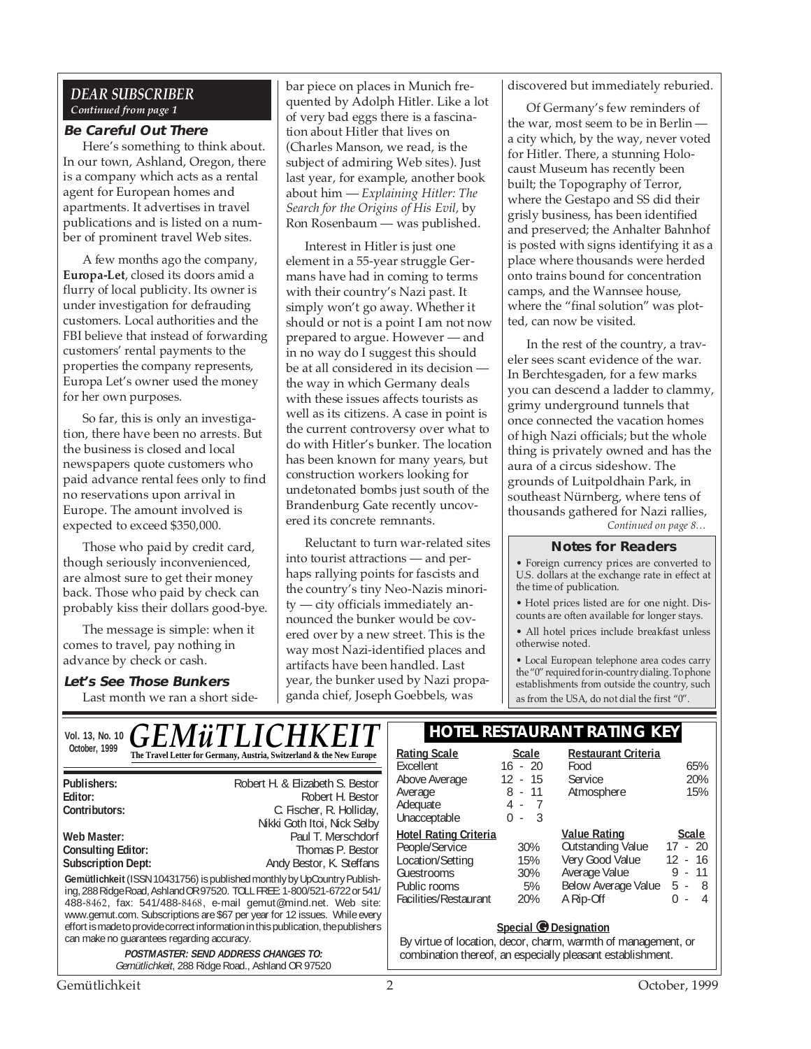#### *DEAR SUBSCRIBER Continued from page 1*

#### **Be Careful Out There**

Here's something to think about. In our town, Ashland, Oregon, there is a company which acts as a rental agent for European homes and apartments. It advertises in travel publications and is listed on a number of prominent travel Web sites.

A few months ago the company, **Europa-Let**, closed its doors amid a flurry of local publicity. Its owner is under investigation for defrauding customers. Local authorities and the FBI believe that instead of forwarding customers' rental payments to the properties the company represents, Europa Let's owner used the money for her own purposes.

So far, this is only an investigation, there have been no arrests. But the business is closed and local newspapers quote customers who paid advance rental fees only to find no reservations upon arrival in Europe. The amount involved is expected to exceed \$350,000.

Those who paid by credit card, though seriously inconvenienced, are almost sure to get their money back. Those who paid by check can probably kiss their dollars good-bye.

The message is simple: when it comes to travel, pay nothing in advance by check or cash.

## **Let's See Those Bunkers**

Last month we ran a short side-

bar piece on places in Munich frequented by Adolph Hitler. Like a lot of very bad eggs there is a fascination about Hitler that lives on (Charles Manson, we read, is the subject of admiring Web sites). Just last year, for example, another book about him — *Explaining Hitler: The Search for the Origins of His Evil,* by Ron Rosenbaum — was published.

Interest in Hitler is just one element in a 55-year struggle Germans have had in coming to terms with their country's Nazi past. It simply won't go away. Whether it should or not is a point I am not now prepared to argue. However — and in no way do I suggest this should be at all considered in its decision the way in which Germany deals with these issues affects tourists as well as its citizens. A case in point is the current controversy over what to do with Hitler's bunker. The location has been known for many years, but construction workers looking for undetonated bombs just south of the Brandenburg Gate recently uncovered its concrete remnants.

Reluctant to turn war-related sites into tourist attractions — and perhaps rallying points for fascists and the country's tiny Neo-Nazis minority — city officials immediately announced the bunker would be covered over by a new street. This is the way most Nazi-identified places and artifacts have been handled. Last year, the bunker used by Nazi propaganda chief, Joseph Goebbels, was

discovered but immediately reburied.

Of Germany's few reminders of the war, most seem to be in Berlin a city which, by the way, never voted for Hitler. There, a stunning Holocaust Museum has recently been built; the Topography of Terror, where the Gestapo and SS did their grisly business, has been identified and preserved; the Anhalter Bahnhof is posted with signs identifying it as a place where thousands were herded onto trains bound for concentration camps, and the Wannsee house, where the "final solution" was plotted, can now be visited.

In the rest of the country, a traveler sees scant evidence of the war. In Berchtesgaden, for a few marks you can descend a ladder to clammy, grimy underground tunnels that once connected the vacation homes of high Nazi officials; but the whole thing is privately owned and has the aura of a circus sideshow. The grounds of Luitpoldhain Park, in southeast Nürnberg, where tens of thousands gathered for Nazi rallies, *Continued on page 8…*

#### **Notes for Readers**

• Foreign currency prices are converted to U.S. dollars at the exchange rate in effect at the time of publication.

• Hotel prices listed are for one night. Discounts are often available for longer stays.

• All hotel prices include breakfast unless otherwise noted.

• Local European telephone area codes carry the "0" required for in-country dialing. To phone establishments from outside the country, such as from the USA, do not dial the first "0".

| Vol. 13, No. 10 $GEM\ddot{u}TLICHKEIT$                                                                                                                                                                                                                                                                                                                                                                                                                                                                                                                                               | <b>HOTEL RESTAURANT RATING KEY</b>                                                                                        |                                                                  |                                                                                                                                                                                                                   |                                                                              |
|--------------------------------------------------------------------------------------------------------------------------------------------------------------------------------------------------------------------------------------------------------------------------------------------------------------------------------------------------------------------------------------------------------------------------------------------------------------------------------------------------------------------------------------------------------------------------------------|---------------------------------------------------------------------------------------------------------------------------|------------------------------------------------------------------|-------------------------------------------------------------------------------------------------------------------------------------------------------------------------------------------------------------------|------------------------------------------------------------------------------|
| October, 1999<br>The Travel Letter for Germany, Austria, Switzerland & the New Europe                                                                                                                                                                                                                                                                                                                                                                                                                                                                                                | <b>Rating Scale</b><br>Excellent                                                                                          | Scale<br>$16 - 20$                                               | <b>Restaurant Criteria</b><br>Food                                                                                                                                                                                | 65%                                                                          |
| Robert H. & Elizabeth S. Bestor<br>Publishers:<br>Editor:<br>Robert H. Bestor<br>Contributors:<br>C. Fischer, R. Holliday,<br>Nikki Goth Itoi, Nick Selby                                                                                                                                                                                                                                                                                                                                                                                                                            | Above Average<br>Average<br>Adequate<br>Unacceptable                                                                      | 12 <sup>2</sup><br>- 15<br>$8 - 11$<br>4 - 7<br>3<br>0<br>$\sim$ | <b>Service</b><br>Atmosphere                                                                                                                                                                                      | 20%<br>15%                                                                   |
| Paul T. Merschdorf<br>Web Master:<br><b>Consulting Editor:</b><br>Thomas P. Bestor<br><b>Subscription Dept:</b><br>Andy Bestor, K. Steffans<br>Gemütlichkeit (ISSN 10431756) is published monthly by UpCountry Publish-<br>ing, 288 Ridge Road, Ashland OR 97520. TOLL FREE: 1-800/521-6722 or 541/<br>488-8462, fax: 541/488-8468, e-mail gemut@mind.net. Web site:<br>www.gemut.com. Subscriptions are \$67 per year for 12 issues. While every<br>effort is made to provide correct information in this publication, the publishers<br>can make no guarantees regarding accuracy. | <b>Hotel Rating Criteria</b><br>People/Service<br>Location/Setting<br>Guestrooms<br>Public rooms<br>Facilities/Restaurant | 30%<br>15%<br>30%<br>5%<br>20%                                   | <b>Value Rating</b><br><b>Outstanding Value</b><br>Very Good Value<br>Average Value<br>Below Average Value<br>A Rip-Off<br>Special @ Designation<br>By virtue of location, decor, charm, warmth of management, or | <b>Scale</b><br>$17 - 20$<br>12<br>- 16<br>- 11<br>9<br>$5 - 8$<br>0<br>$-4$ |
| <b>POSTMASTER: SEND ADDRESS CHANGES TO:</b><br>Gemütlichkeit, 288 Ridge Road., Ashland OR 97520                                                                                                                                                                                                                                                                                                                                                                                                                                                                                      |                                                                                                                           |                                                                  | combination thereof, an especially pleasant establishment.                                                                                                                                                        |                                                                              |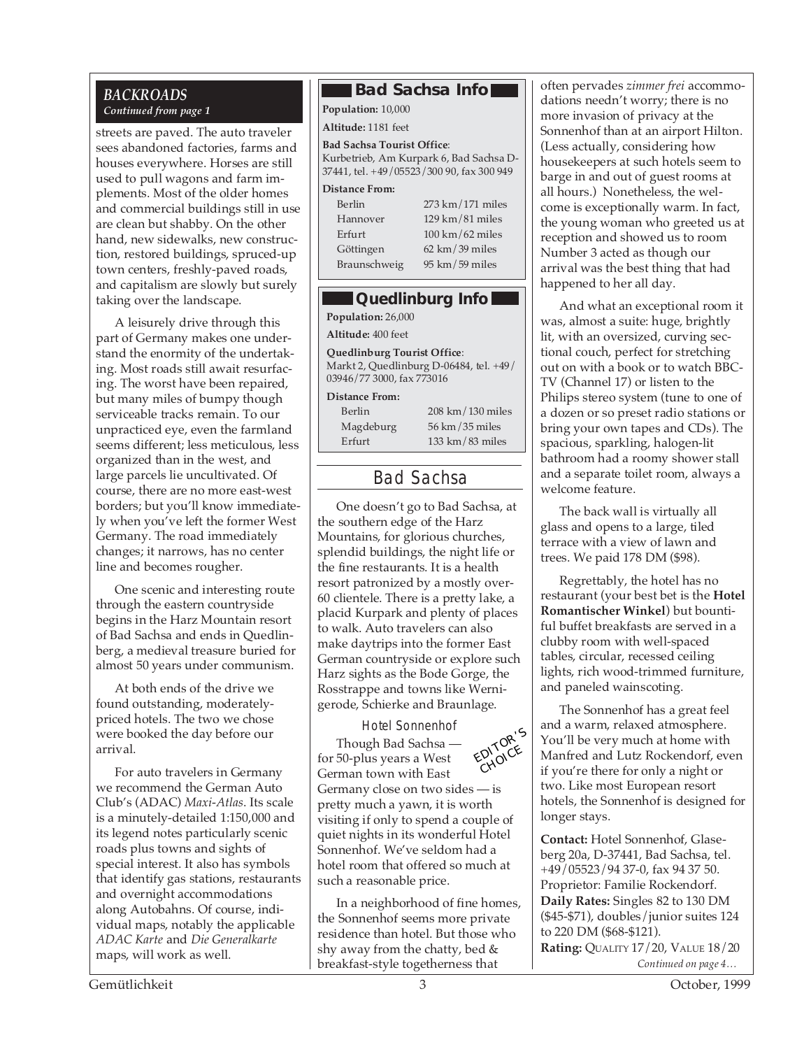# *Continued from page 1*

streets are paved. The auto traveler sees abandoned factories, farms and houses everywhere. Horses are still used to pull wagons and farm implements. Most of the older homes and commercial buildings still in use are clean but shabby. On the other hand, new sidewalks, new construction, restored buildings, spruced-up town centers, freshly-paved roads, and capitalism are slowly but surely taking over the landscape.

A leisurely drive through this part of Germany makes one understand the enormity of the undertaking. Most roads still await resurfacing. The worst have been repaired, but many miles of bumpy though serviceable tracks remain. To our unpracticed eye, even the farmland seems different; less meticulous, less organized than in the west, and large parcels lie uncultivated. Of course, there are no more east-west borders; but you'll know immediately when you've left the former West Germany. The road immediately changes; it narrows, has no center line and becomes rougher.

One scenic and interesting route through the eastern countryside begins in the Harz Mountain resort of Bad Sachsa and ends in Quedlinberg, a medieval treasure buried for almost 50 years under communism.

At both ends of the drive we found outstanding, moderatelypriced hotels. The two we chose were booked the day before our arrival.

For auto travelers in Germany we recommend the German Auto Club's (ADAC) *Maxi-Atlas*. Its scale is a minutely-detailed 1:150,000 and its legend notes particularly scenic roads plus towns and sights of special interest. It also has symbols that identify gas stations, restaurants and overnight accommodations along Autobahns. Of course, individual maps, notably the applicable *ADAC Karte* and *Die Generalkarte* maps, will work as well.

#### *BACKROADS* **Bad Sachsa Info**

**Population:** 10,000

**Altitude:** 1181 feet

**Bad Sachsa Tourist Office**: Kurbetrieb, Am Kurpark 6, Bad Sachsa D-37441, tel. +49/05523/300 90, fax 300 949

> $/171$  miles  $/81$  miles  $/62$  miles 39 miles 59 miles

#### **Distance From:**

| Berlin       | 273 km          |
|--------------|-----------------|
| Hannover     | 129 km          |
| Erfurt       | 100 km          |
| Göttingen    | $62 \text{ km}$ |
| Braunschweig | 95 km/          |

#### **Quedlinburg Info**

**Population:** 26,000

**Altitude:** 400 feet

**Quedlinburg Tourist Office**: Markt 2, Quedlinburg D-06484, tel. +49/ 03946/77 3000, fax 773016

**Distance From:**

| Berlin    | 208 km/130 miles                    |
|-----------|-------------------------------------|
| Magdeburg | $56 \text{ km} / 35 \text{ miles}$  |
| Erfurt    | $133 \text{ km} / 83 \text{ miles}$ |

# Bad Sachsa

One doesn't go to Bad Sachsa, at the southern edge of the Harz Mountains, for glorious churches, splendid buildings, the night life or the fine restaurants. It is a health resort patronized by a mostly over-60 clientele. There is a pretty lake, a placid Kurpark and plenty of places to walk. Auto travelers can also make daytrips into the former East German countryside or explore such Harz sights as the Bode Gorge, the Rosstrappe and towns like Wernigerode, Schierke and Braunlage.

Hotel Sonnenhof



Though Bad Sachsa for 50-plus years a West German town with East Germany close on two sides — is pretty much a yawn, it is worth visiting if only to spend a couple of quiet nights in its wonderful Hotel Sonnenhof. We've seldom had a hotel room that offered so much at such a reasonable price. CHOICE

In a neighborhood of fine homes, the Sonnenhof seems more private residence than hotel. But those who shy away from the chatty, bed & breakfast-style togetherness that

often pervades *zimmer frei* accommodations needn't worry; there is no more invasion of privacy at the Sonnenhof than at an airport Hilton. (Less actually, considering how housekeepers at such hotels seem to barge in and out of guest rooms at all hours.) Nonetheless, the welcome is exceptionally warm. In fact, the young woman who greeted us at reception and showed us to room Number 3 acted as though our arrival was the best thing that had happened to her all day.

And what an exceptional room it was, almost a suite: huge, brightly lit, with an oversized, curving sectional couch, perfect for stretching out on with a book or to watch BBC-TV (Channel 17) or listen to the Philips stereo system (tune to one of a dozen or so preset radio stations or bring your own tapes and CDs). The spacious, sparkling, halogen-lit bathroom had a roomy shower stall and a separate toilet room, always a welcome feature.

The back wall is virtually all glass and opens to a large, tiled terrace with a view of lawn and trees. We paid 178 DM (\$98).

Regrettably, the hotel has no restaurant (your best bet is the **Hotel Romantischer Winkel**) but bountiful buffet breakfasts are served in a clubby room with well-spaced tables, circular, recessed ceiling lights, rich wood-trimmed furniture, and paneled wainscoting.

The Sonnenhof has a great feel and a warm, relaxed atmosphere. You'll be very much at home with Manfred and Lutz Rockendorf, even if you're there for only a night or two. Like most European resort hotels, the Sonnenhof is designed for longer stays.

*Continued on page 4…* **Contact:** Hotel Sonnenhof, Glaseberg 20a, D-37441, Bad Sachsa, tel. +49/05523/94 37-0, fax 94 37 50. Proprietor: Familie Rockendorf. **Daily Rates:** Singles 82 to 130 DM (\$45-\$71), doubles/junior suites 124 to 220 DM (\$68-\$121). **Rating:** QUALITY 17/20, VALUE 18/20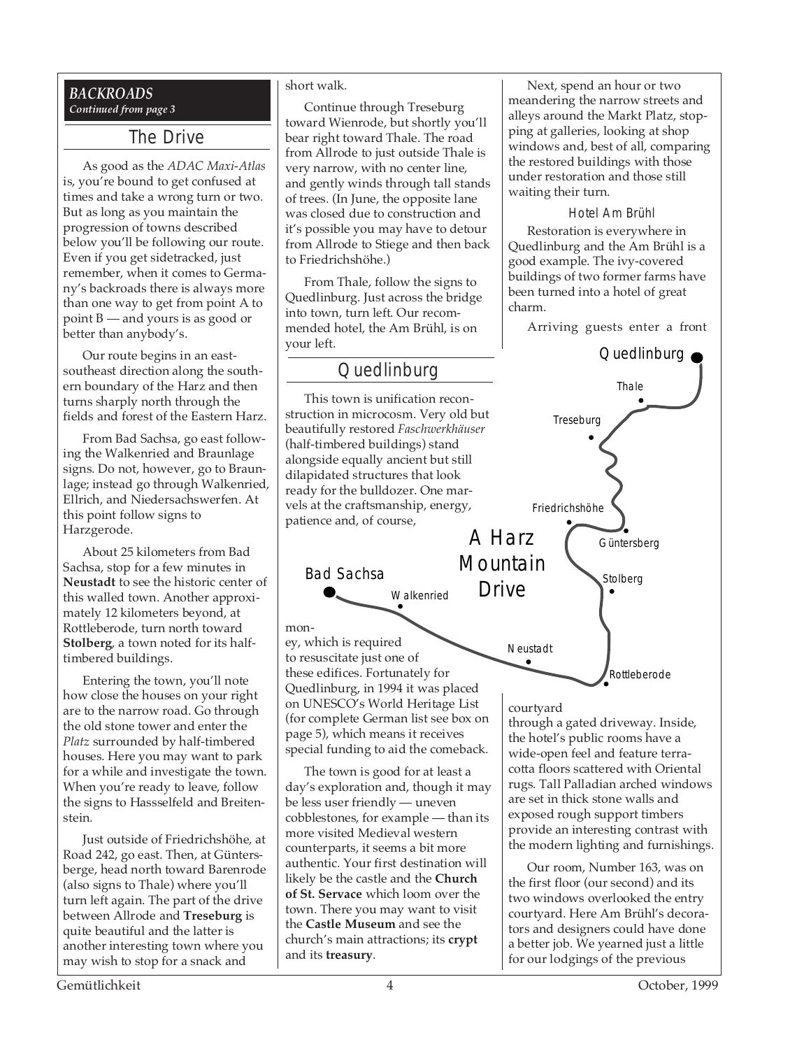#### *BACKROADS Continued from page 3*

### The Drive

As good as the *ADAC Maxi-Atlas* is, you're bound to get confused at times and take a wrong turn or two. But as long as you maintain the progression of towns described below you'll be following our route. Even if you get sidetracked, just remember, when it comes to Germany's backroads there is always more than one way to get from point A to point B — and yours is as good or better than anybody's.

Our route begins in an eastsoutheast direction along the southern boundary of the Harz and then turns sharply north through the fields and forest of the Eastern Harz.

From Bad Sachsa, go east following the Walkenried and Braunlage signs. Do not, however, go to Braunlage; instead go through Walkenried, Ellrich, and Niedersachswerfen. At this point follow signs to Harzgerode.

About 25 kilometers from Bad Sachsa, stop for a few minutes in **Neustadt** to see the historic center of this walled town. Another approximately 12 kilometers beyond, at Rottleberode, turn north toward **Stolberg**, a town noted for its halftimbered buildings.

Entering the town, you'll note how close the houses on your right are to the narrow road. Go through the old stone tower and enter the *Platz* surrounded by half-timbered houses. Here you may want to park for a while and investigate the town. When you're ready to leave, follow the signs to Hassselfeld and Breitenstein.

Just outside of Friedrichshöhe, at Road 242, go east. Then, at Güntersberge, head north toward Barenrode (also signs to Thale) where you'll turn left again. The part of the drive between Allrode and **Treseburg** is quite beautiful and the latter is another interesting town where you may wish to stop for a snack and

#### short walk.

Continue through Treseburg toward Wienrode, but shortly you'll bear right toward Thale. The road from Allrode to just outside Thale is very narrow, with no center line, and gently winds through tall stands of trees. (In June, the opposite lane was closed due to construction and it's possible you may have to detour from Allrode to Stiege and then back to Friedrichshöhe.)

From Thale, follow the signs to Quedlinburg. Just across the bridge into town, turn left. Our recommended hotel, the Am Brühl, is on your left.

## **Quedlinburg**

This town is unification reconstruction in microcosm. Very old but beautifully restored *Faschwerkhäuser* (half-timbered buildings) stand alongside equally ancient but still dilapidated structures that look ready for the bulldozer. One marvels at the craftsmanship, energy, patience and, of course,

Bad Sachsa

money, which is required to resuscitate just one of these edifices. Fortunately for Quedlinburg, in 1994 it was placed on UNESCO's World Heritage List (for complete German list see box on page 5), which means it receives special funding to aid the comeback.

Walkenried

The town is good for at least a day's exploration and, though it may be less user friendly — uneven cobblestones, for example — than its more visited Medieval western counterparts, it seems a bit more authentic. Your first destination will likely be the castle and the **Church of St. Servace** which loom over the town. There you may want to visit the **Castle Museum** and see the church's main attractions; its **crypt** and its **treasury**.

Next, spend an hour or two meandering the narrow streets and alleys around the Markt Platz, stopping at galleries, looking at shop windows and, best of all, comparing the restored buildings with those under restoration and those still waiting their turn.

#### Hotel Am Brühl

Restoration is everywhere in Quedlinburg and the Am Brühl is a good example. The ivy-covered buildings of two former farms have been turned into a hotel of great charm.

Arriving guests enter a front



#### courtyard

through a gated driveway. Inside, the hotel's public rooms have a wide-open feel and feature terracotta floors scattered with Oriental rugs. Tall Palladian arched windows are set in thick stone walls and exposed rough support timbers provide an interesting contrast with the modern lighting and furnishings.

Our room, Number 163, was on the first floor (our second) and its two windows overlooked the entry courtyard. Here Am Brühl's decorators and designers could have done a better job. We yearned just a little for our lodgings of the previous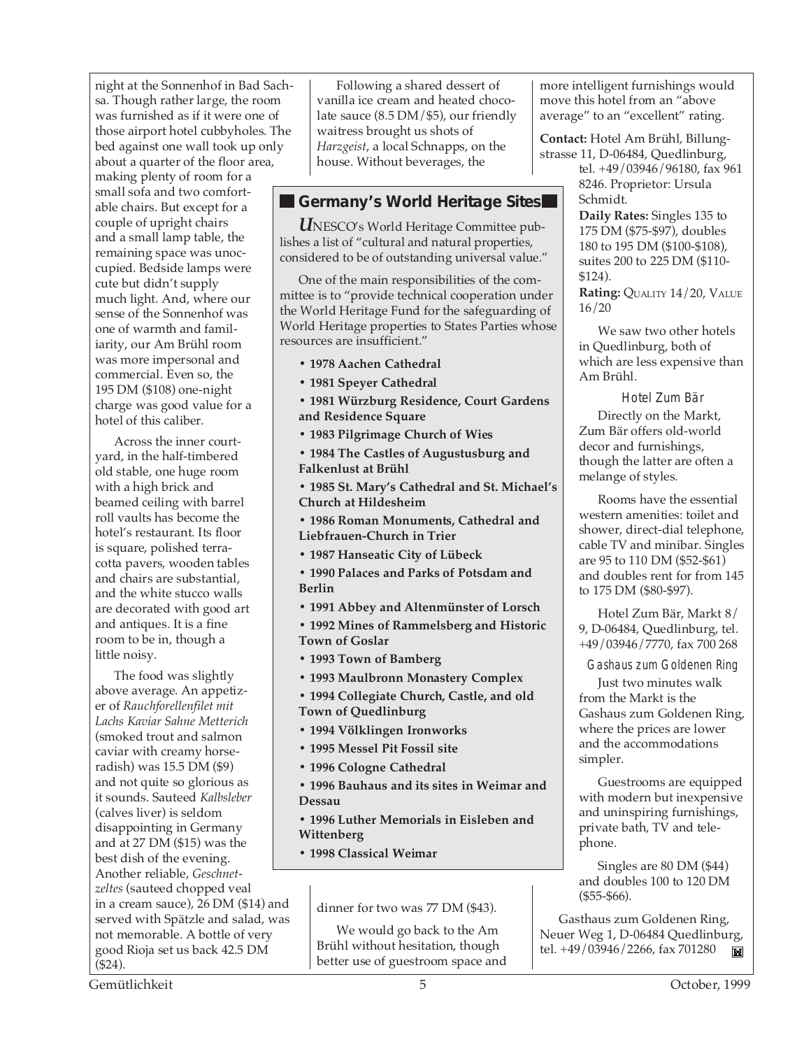night at the Sonnenhof in Bad Sachsa. Though rather large, the room was furnished as if it were one of those airport hotel cubbyholes. The bed against one wall took up only about a quarter of the floor area, making plenty of room for a small sofa and two comfortable chairs. But except for a couple of upright chairs and a small lamp table, the remaining space was unoccupied. Bedside lamps were cute but didn't supply much light. And, where our sense of the Sonnenhof was one of warmth and familiarity, our Am Brühl room was more impersonal and commercial. Even so, the 195 DM (\$108) one-night charge was good value for a hotel of this caliber.

Across the inner courtyard, in the half-timbered old stable, one huge room with a high brick and beamed ceiling with barrel roll vaults has become the hotel's restaurant. Its floor is square, polished terracotta pavers, wooden tables and chairs are substantial, and the white stucco walls are decorated with good art and antiques. It is a fine room to be in, though a little noisy.

The food was slightly above average. An appetizer of *Rauchforellenfilet mit Lachs Kaviar Sahne Metterich* (smoked trout and salmon caviar with creamy horseradish) was 15.5 DM (\$9) and not quite so glorious as it sounds. Sauteed *Kalbsleber* (calves liver) is seldom disappointing in Germany and at 27 DM (\$15) was the best dish of the evening. Another reliable, *Geschnetzeltes* (sauteed chopped veal in a cream sauce), 26 DM (\$14) and served with Spätzle and salad, was not memorable. A bottle of very good Rioja set us back 42.5 DM (\$24).

Following a shared dessert of vanilla ice cream and heated chocolate sauce (8.5 DM/\$5), our friendly waitress brought us shots of *Harzgeist*, a local Schnapps, on the house. Without beverages, the

#### **Germany's World Heritage Sites**

*U*NESCO's World Heritage Committee publishes a list of "cultural and natural properties, considered to be of outstanding universal value."

One of the main responsibilities of the committee is to "provide technical cooperation under the World Heritage Fund for the safeguarding of World Heritage properties to States Parties whose resources are insufficient."

**• 1978 Aachen Cathedral**

**• 1981 Speyer Cathedral**

**• 1981 Würzburg Residence, Court Gardens and Residence Square**

**• 1983 Pilgrimage Church of Wies**

**• 1984 The Castles of Augustusburg and Falkenlust at Brühl**

**• 1985 St. Mary's Cathedral and St. Michael's Church at Hildesheim**

**• 1986 Roman Monuments, Cathedral and Liebfrauen-Church in Trier**

**• 1987 Hanseatic City of Lübeck**

**• 1990 Palaces and Parks of Potsdam and Berlin**

**• 1991 Abbey and Altenmünster of Lorsch**

**• 1992 Mines of Rammelsberg and Historic Town of Goslar**

**• 1993 Town of Bamberg**

**• 1993 Maulbronn Monastery Complex**

**• 1994 Collegiate Church, Castle, and old Town of Quedlinburg**

**• 1994 Völklingen Ironworks**

**• 1995 Messel Pit Fossil site**

**• 1996 Cologne Cathedral**

**• 1996 Bauhaus and its sites in Weimar and Dessau**

**• 1996 Luther Memorials in Eisleben and Wittenberg**

**• 1998 Classical Weimar**

dinner for two was 77 DM (\$43).

We would go back to the Am Brühl without hesitation, though better use of guestroom space and more intelligent furnishings would move this hotel from an "above average" to an "excellent" rating.

**Contact:** Hotel Am Brühl, Billungstrasse 11, D-06484, Quedlinburg,

tel. +49/03946/96180, fax 961 8246. Proprietor: Ursula Schmidt.

**Daily Rates:** Singles 135 to 175 DM (\$75-\$97), doubles 180 to 195 DM (\$100-\$108), suites 200 to 225 DM (\$110- \$124).

**Rating: QUALITY 14/20, VALUE** 16/20

We saw two other hotels in Quedlinburg, both of which are less expensive than Am Brühl.

Hotel Zum Bär Directly on the Markt, Zum Bär offers old-world decor and furnishings, though the latter are often a melange of styles.

Rooms have the essential western amenities: toilet and shower, direct-dial telephone, cable TV and minibar. Singles are 95 to 110 DM (\$52-\$61) and doubles rent for from 145 to 175 DM (\$80-\$97).

Hotel Zum Bär, Markt 8/ 9, D-06484, Quedlinburg, tel. +49/03946/7770, fax 700 268

Gashaus zum Goldenen Ring

Just two minutes walk from the Markt is the Gashaus zum Goldenen Ring, where the prices are lower and the accommodations simpler.

Guestrooms are equipped with modern but inexpensive and uninspiring furnishings, private bath, TV and telephone.

Singles are 80 DM (\$44) and doubles 100 to 120 DM (\$55-\$66).

Gasthaus zum Goldenen Ring, Neuer Weg 1, D-06484 Quedlinburg, tel. +49/03946/2266, fax 701280 ĬШ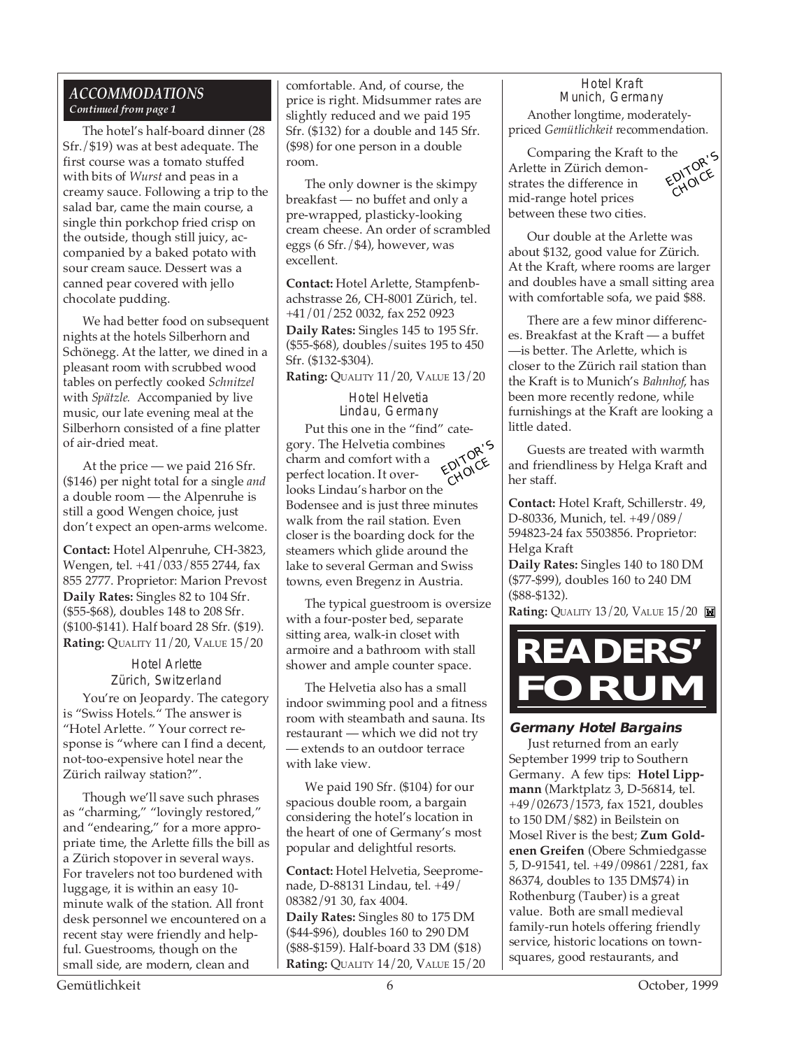#### *ACCOMMODATIONS Continued from page 1*

The hotel's half-board dinner (28 Sfr./\$19) was at best adequate. The first course was a tomato stuffed with bits of *Wurst* and peas in a creamy sauce. Following a trip to the salad bar, came the main course, a single thin porkchop fried crisp on the outside, though still juicy, accompanied by a baked potato with sour cream sauce. Dessert was a canned pear covered with jello chocolate pudding.

We had better food on subsequent nights at the hotels Silberhorn and Schönegg. At the latter, we dined in a pleasant room with scrubbed wood tables on perfectly cooked *Schnitzel* with *Spätzle.* Accompanied by live music, our late evening meal at the Silberhorn consisted of a fine platter of air-dried meat.

At the price — we paid 216 Sfr. (\$146) per night total for a single *and* a double room — the Alpenruhe is still a good Wengen choice, just don't expect an open-arms welcome.

**Contact:** Hotel Alpenruhe, CH-3823, Wengen, tel. +41/033/855 2744, fax 855 2777. Proprietor: Marion Prevost **Daily Rates:** Singles 82 to 104 Sfr. (\$55-\$68), doubles 148 to 208 Sfr. (\$100-\$141). Half board 28 Sfr. (\$19). **Rating:** QUALITY 11/20, VALUE 15/20

Hotel Arlette Zürich, Switzerland You're on Jeopardy. The category is "Swiss Hotels." The answer is "Hotel Arlette. " Your correct response is "where can I find a decent, not-too-expensive hotel near the Zürich railway station?".

Though we'll save such phrases as "charming," "lovingly restored," and "endearing," for a more appropriate time, the Arlette fills the bill as a Zürich stopover in several ways. For travelers not too burdened with luggage, it is within an easy 10 minute walk of the station. All front desk personnel we encountered on a recent stay were friendly and helpful. Guestrooms, though on the small side, are modern, clean and

comfortable. And, of course, the price is right. Midsummer rates are slightly reduced and we paid 195 Sfr. (\$132) for a double and 145 Sfr. (\$98) for one person in a double room.

The only downer is the skimpy breakfast — no buffet and only a pre-wrapped, plasticky-looking cream cheese. An order of scrambled eggs (6 Sfr./\$4), however, was excellent.

**Contact:** Hotel Arlette, Stampfenbachstrasse 26, CH-8001 Zürich, tel. +41/01/252 0032, fax 252 0923

**Daily Rates:** Singles 145 to 195 Sfr. (\$55-\$68), doubles/suites 195 to 450 Sfr. (\$132-\$304).

**Rating:** QUALITY 11/20, VALUE 13/20

Hotel Helvetia Lindau, Germany Put this one in the "find" category. The Helvetia combines charm and comfort with a perfect location. It overlooks Lindau's harbor on the Bodensee and is just three minutes walk from the rail station. Even closer is the boarding dock for the steamers which glide around the lake to several German and Swiss towns, even Bregenz in Austria. EDITOR'<sup>S</sup> CHOICE

The typical guestroom is oversize with a four-poster bed, separate sitting area, walk-in closet with armoire and a bathroom with stall shower and ample counter space.

The Helvetia also has a small indoor swimming pool and a fitness room with steambath and sauna. Its restaurant — which we did not try — extends to an outdoor terrace with lake view.

We paid 190 Sfr. (\$104) for our spacious double room, a bargain considering the hotel's location in the heart of one of Germany's most popular and delightful resorts.

**Contact:** Hotel Helvetia, Seepromenade, D-88131 Lindau, tel. +49/ 08382/91 30, fax 4004. **Daily Rates:** Singles 80 to 175 DM (\$44-\$96), doubles 160 to 290 DM (\$88-\$159). Half-board 33 DM (\$18) **Rating: QUALITY 14/20, VALUE 15/20** 

Hotel Kraft Munich, Germany

Another longtime, moderatelypriced *Gemütlichkeit* recommendation.

Comparing the Kraft to the Arlette in Zürich demonstrates the difference in mid-range hotel prices between these two cities.



Our double at the Arlette was about \$132, good value for Zürich. At the Kraft, where rooms are larger and doubles have a small sitting area with comfortable sofa, we paid \$88.

There are a few minor differences. Breakfast at the Kraft — a buffet —is better. The Arlette, which is closer to the Zürich rail station than the Kraft is to Munich's *Bahnhof*, has been more recently redone, while furnishings at the Kraft are looking a little dated.

Guests are treated with warmth and friendliness by Helga Kraft and her staff.

**Contact:** Hotel Kraft, Schillerstr. 49, D-80336, Munich, tel. +49/089/ 594823-24 fax 5503856. Proprietor: Helga Kraft

**Daily Rates:** Singles 140 to 180 DM (\$77-\$99), doubles 160 to 240 DM (\$88-\$132).

**Rating: QUALITY 13/20, VALUE 15/20** 



#### **Germany Hotel Bargains**

Just returned from an early September 1999 trip to Southern Germany. A few tips: **Hotel Lippmann** (Marktplatz 3, D-56814, tel. +49/02673/1573, fax 1521, doubles to 150 DM/\$82) in Beilstein on Mosel River is the best; **Zum Goldenen Greifen** (Obere Schmiedgasse 5, D-91541, tel. +49/09861/2281, fax 86374, doubles to 135 DM\$74) in Rothenburg (Tauber) is a great value. Both are small medieval family-run hotels offering friendly service, historic locations on townsquares, good restaurants, and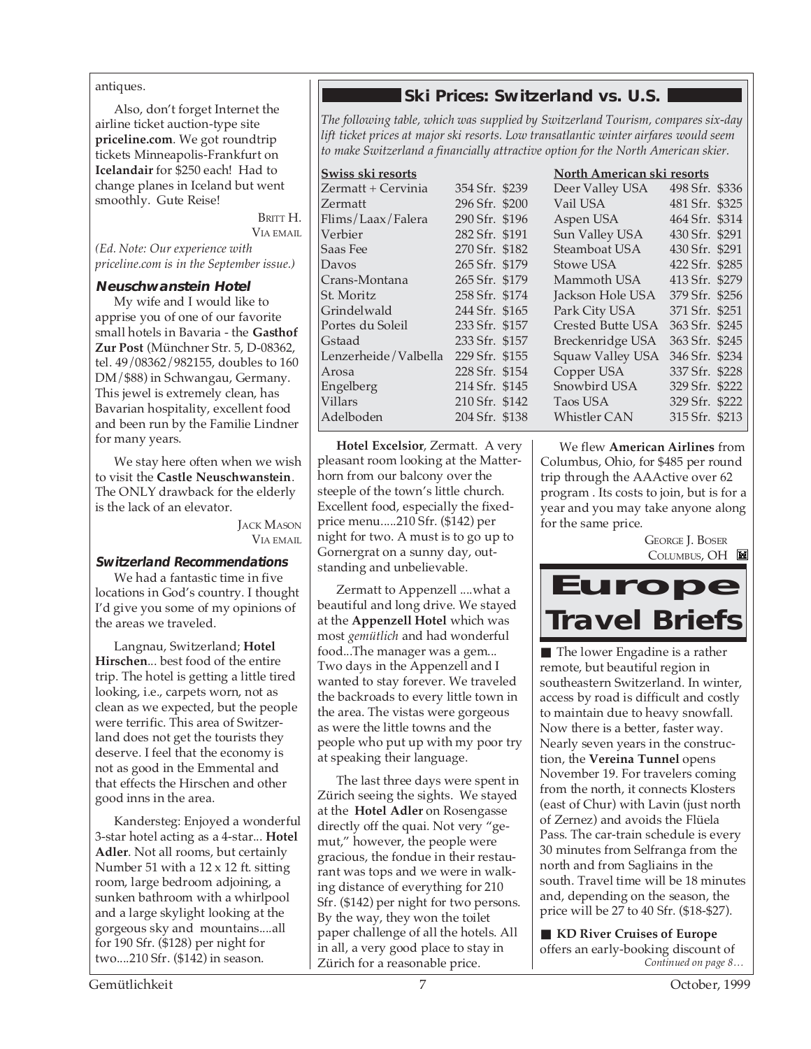#### antiques.

Also, don't forget Internet the airline ticket auction-type site **priceline.com**. We got roundtrip tickets Minneapolis-Frankfurt on **Icelandair** for \$250 each! Had to change planes in Iceland but went smoothly. Gute Reise!

> BRITT H. VIA EMAIL

*(Ed. Note: Our experience with priceline.com is in the September issue.)*

#### **Neuschwanstein Hotel**

My wife and I would like to apprise you of one of our favorite small hotels in Bavaria - the **Gasthof Zur Post** (Münchner Str. 5, D-08362, tel. 49/08362/982155, doubles to 160 DM/\$88) in Schwangau, Germany. This jewel is extremely clean, has Bavarian hospitality, excellent food and been run by the Familie Lindner for many years.

We stay here often when we wish to visit the **Castle Neuschwanstein**. The ONLY drawback for the elderly is the lack of an elevator.

> **JACK MASON** VIA EMAIL

#### **Switzerland Recommendations**

We had a fantastic time in five locations in God's country. I thought I'd give you some of my opinions of the areas we traveled.

Langnau, Switzerland; **Hotel Hirschen**... best food of the entire trip. The hotel is getting a little tired looking, i.e., carpets worn, not as clean as we expected, but the people were terrific. This area of Switzerland does not get the tourists they deserve. I feel that the economy is not as good in the Emmental and that effects the Hirschen and other good inns in the area.

Kandersteg: Enjoyed a wonderful 3-star hotel acting as a 4-star... **Hotel Adler**. Not all rooms, but certainly Number 51 with a 12 x 12 ft. sitting room, large bedroom adjoining, a sunken bathroom with a whirlpool and a large skylight looking at the gorgeous sky and mountains....all for 190 Sfr. (\$128) per night for two....210 Sfr. (\$142) in season.

#### **Ski Prices: Switzerland vs. U.S.**

*The following table, which was supplied by Switzerland Tourism, compares six-day lift ticket prices at major ski resorts. Low transatlantic winter airfares would seem to make Switzerland a financially attractive option for the North American skier.*

| Swiss ski resorts    |                | North American ski resorts |                        |                |  |
|----------------------|----------------|----------------------------|------------------------|----------------|--|
| Zermatt + Cervinia   | 354 Sfr. \$239 |                            | Deer Valley USA        | 498 Sfr. \$336 |  |
| Zermatt              | 296 Sfr. \$200 |                            | Vail USA <b>Wareho</b> | 481 Sfr. \$325 |  |
| Flims/Laax/Falera    | 290 Sfr. \$196 |                            | Aspen USA              | 464 Sfr. \$314 |  |
| Verbier              | 282 Sfr. \$191 |                            | Sun Valley USA         | 430 Sfr. \$291 |  |
| Saas Fee             | 270 Sfr. \$182 |                            | Steamboat USA          | 430 Sfr. \$291 |  |
| Davos                | 265 Sfr. \$179 |                            | Stowe USA              | 422 Sfr. \$285 |  |
| Crans-Montana        | 265 Sfr. \$179 |                            | Mammoth USA            | 413 Sfr. \$279 |  |
| St. Moritz           | 258 Sfr. \$174 |                            | Jackson Hole USA       | 379 Sfr. \$256 |  |
| Grindelwald          | 244 Sfr. \$165 |                            | Park City USA          | 371 Sfr. \$251 |  |
| Portes du Soleil     | 233 Sfr. \$157 |                            | Crested Butte USA      | 363 Sfr. \$245 |  |
| Gstaad               | 233 Sfr. \$157 |                            | Breckenridge USA       | 363 Sfr. \$245 |  |
| Lenzerheide/Valbella | 229 Sfr. \$155 |                            | Squaw Valley USA       | 346 Sfr. \$234 |  |
| Arosa                | 228 Sfr. \$154 |                            | Copper USA             | 337 Sfr. \$228 |  |
| Engelberg            | 214 Sfr. \$145 |                            | Snowbird USA           | 329 Sfr. \$222 |  |
| <b>Villars</b>       | 210 Sfr. \$142 |                            | Taos USA               | 329 Sfr. \$222 |  |
| Adelboden            | 204 Sfr. \$138 |                            | <b>Whistler CAN</b>    | 315 Sfr. \$213 |  |

**Hotel Excelsior**, Zermatt. A very pleasant room looking at the Matterhorn from our balcony over the steeple of the town's little church. Excellent food, especially the fixedprice menu.....210 Sfr. (\$142) per night for two. A must is to go up to Gornergrat on a sunny day, outstanding and unbelievable.

Zermatt to Appenzell ....what a beautiful and long drive. We stayed at the **Appenzell Hotel** which was most *gemütlich* and had wonderful food...The manager was a gem... Two days in the Appenzell and I wanted to stay forever. We traveled the backroads to every little town in the area. The vistas were gorgeous as were the little towns and the people who put up with my poor try at speaking their language.

The last three days were spent in Zürich seeing the sights. We stayed at the **Hotel Adler** on Rosengasse directly off the quai. Not very "gemut," however, the people were gracious, the fondue in their restaurant was tops and we were in walking distance of everything for 210 Sfr. (\$142) per night for two persons. By the way, they won the toilet paper challenge of all the hotels. All in all, a very good place to stay in Zürich for a reasonable price.

We flew **American Airlines** from Columbus, Ohio, for \$485 per round trip through the AAActive over 62 program . Its costs to join, but is for a year and you may take anyone along for the same price.



■ The lower Engadine is a rather remote, but beautiful region in southeastern Switzerland. In winter, access by road is difficult and costly to maintain due to heavy snowfall. Now there is a better, faster way. Nearly seven years in the construction, the **Vereina Tunnel** opens November 19. For travelers coming from the north, it connects Klosters (east of Chur) with Lavin (just north of Zernez) and avoids the Flüela Pass. The car-train schedule is every 30 minutes from Selfranga from the north and from Sagliains in the south. Travel time will be 18 minutes and, depending on the season, the price will be 27 to 40 Sfr. (\$18-\$27).

*Continued on page 8…* ■ **KD River Cruises of Europe** offers an early-booking discount of